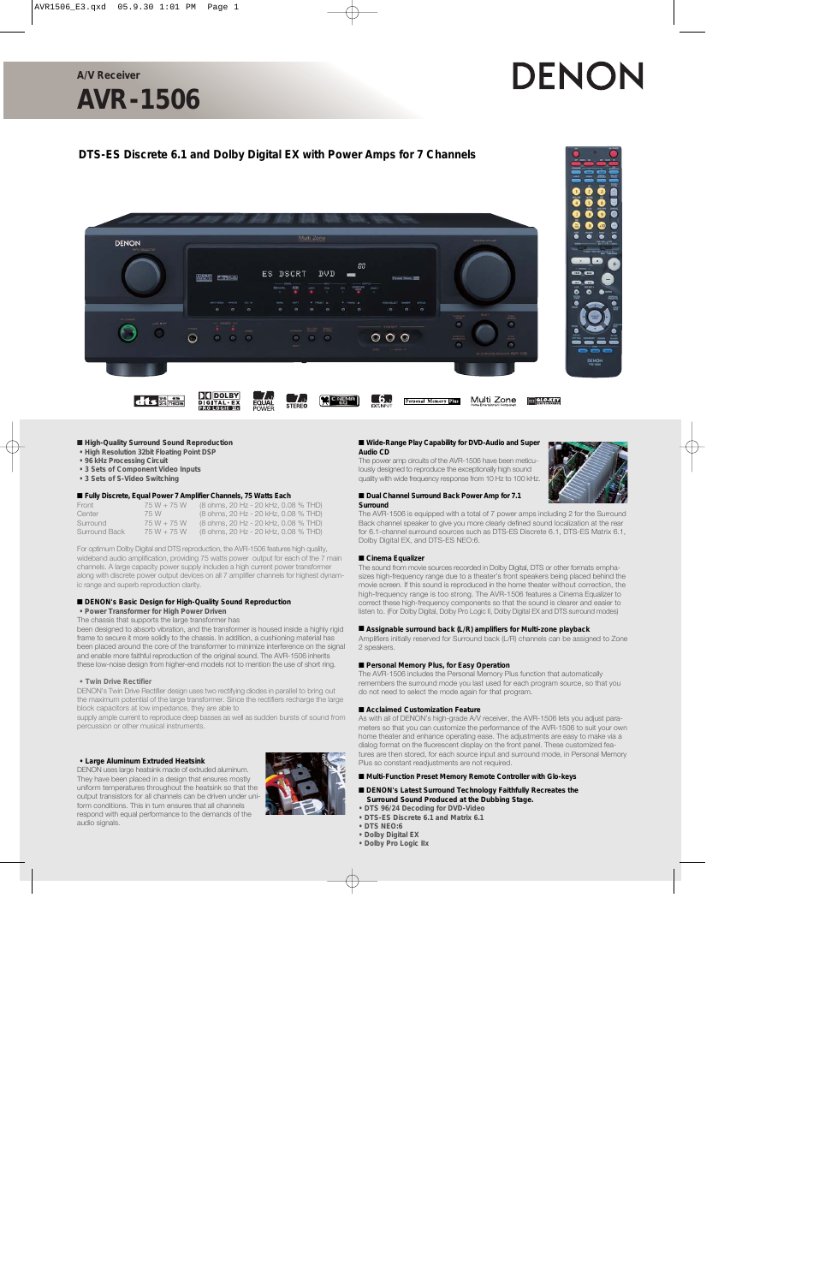**A/V Receiver**

# **AVR-1506**

# DENON

## **DTS-ES Discrete 6.1 and Dolby Digital EX with Power Amps for 7 Channels**



#### ■ **High-Quality Surround Sound Reproduction**

- **High Resolution 32bit Floating Point DSP**
- **96 kHz Processing Circuit**
- **3 Sets of Component Video Inputs**
- **3 Sets of S-Video Switching**

#### ■ **Fully Discrete, Equal Power 7 Amplifier Channels, 75 Watts Each**

| Front         | $75W + 75W$ | (8 ohms, 20 Hz - 20 kHz, 0.08 % THD) |
|---------------|-------------|--------------------------------------|
| Center        | 75 W        | (8 ohms, 20 Hz - 20 kHz, 0.08 % THD) |
| Surround      | $75W + 75W$ | (8 ohms, 20 Hz - 20 kHz, 0.08 % THD) |
| Surround Back | $75W + 75W$ | (8 ohms, 20 Hz - 20 kHz, 0.08 % THD) |

For optimum Dolby Digital and DTS reproduction, the AVR-1506 features high quality, wideband audio amplification, providing 75 watts power output for each of the 7 main channels. A large capacity power supply includes a high current power transformer along with discrete power output devices on all 7 amplifier channels for highest dynamic range and superb reproduction clarity.

#### ■ **DENON's Basic Design for High-Quality Sound Reproduction**

**• Power Transformer for High Power Driven**

The chassis that supports the large transformer has

been designed to absorb vibration, and the transformer is housed inside a highly rigid frame to secure it more solidly to the chassis. In addition, a cushioning material has been placed around the core of the transformer to minimize interference on the signal and enable more faithful reproduction of the original sound. The AVR-1506 inherits these low-noise design from higher-end models not to mention the use of short ring.

#### **• Twin Drive Rectifier**

DENON's Twin Drive Rectifier design uses two rectifying diodes in parallel to bring out the maximum potential of the large transformer. Since the rectifiers recharge the large block capacitors at low impedance, they are able to

supply ample current to reproduce deep basses as well as sudden bursts of sound from percussion or other musical instruments.

#### **• Large Aluminum Extruded Heatsink**

DENON uses large heatsink made of extruded aluminum. They have been placed in a design that ensures mostly uniform temperatures throughout the heatsink so that the output transistors for all channels can be driven under uniform conditions. This in turn ensures that all channels respond with equal performance to the demands of the audio signals.



#### ■ Wide-Range Play Capability for DVD-Audio and Super **Audio CD**

The power amp circuits of the AVR-1506 have been meticulously designed to reproduce the exceptionally high sound quality with wide frequency response from 10 Hz to 100 kHz.

#### ■ **Dual Channel Surround Back Power Amp for 7.1 Surround**



The AVR-1506 is equipped with a total of 7 power amps including 2 for the Surround Back channel speaker to give you more clearly defined sound localization at the rear for 6.1-channel surround sources such as DTS-ES Discrete 6.1, DTS-ES Matrix 6.1, Dolby Digital EX, and DTS-ES NEO:6.

#### ■ Cinema Equalizer

The sound from movie sources recorded in Dolby Digital, DTS or other formats emphasizes high-frequency range due to a theater's front speakers being placed behind the movie screen. If this sound is reproduced in the home theater without correction, the high-frequency range is too strong. The AVR-1506 features a Cinema Equalizer to correct these high-frequency components so that the sound is clearer and easier to listen to. (For Dolby Digital, Dolby Pro Logic II, Dolby Digital EX and DTS surround modes)

#### ■ Assignable surround back (L/R) amplifiers for Multi-zone playback

Amplifiers initially reserved for Surround back (L/R) channels can be assigned to Zone 2 speakers.

#### ■ **Personal Memory Plus, for Easy Operation**

The AVR-1506 includes the Personal Memory Plus function that automatically remembers the surround mode you last used for each program source, so that you do not need to select the mode again for that program.

#### ■ **Acclaimed Customization Feature**

As with all of DENON's high-grade A/V receiver, the AVR-1506 lets you adjust parameters so that you can customize the performance of the AVR-1506 to suit your own home theater and enhance operating ease. The adjustments are easy to make via a dialog format on the fluorescent display on the front panel. These customized features are then stored, for each source input and surround mode, in Personal Memory Plus so constant readjustments are not required.

■ Multi-Function Preset Memory Remote Controller with Glo-keys

#### ■ **DENON's Latest Surround Technology Faithfully Recreates the Surround Sound Produced at the Dubbing Stage.**

- **DTS 96/24 Decoding for DVD-Video**
- **DTS-ES Discrete 6.1 and Matrix 6.1**
- **DTS NEO:6**
- **Dolby Digital EX**
- **Dolby Pro Logic IIx**